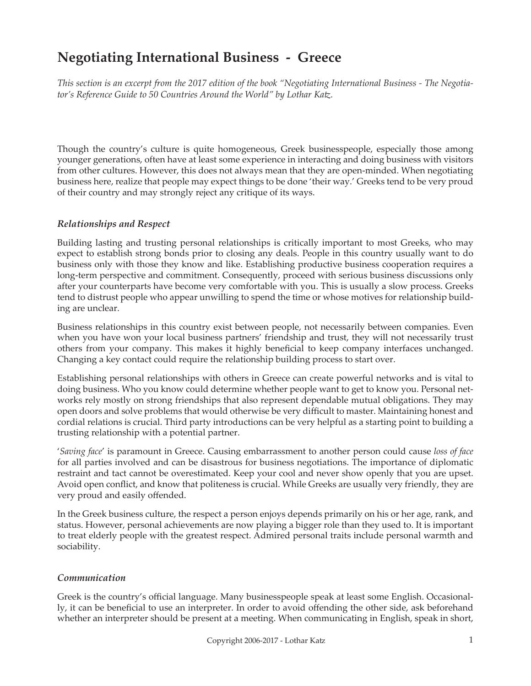# **Negotiating International Business - Greece**

*This section is an excerpt from the 2017 edition of the book "Negotiating International Business - The Negotiator's Reference Guide to 50 Countries Around the World" by Lothar Katz.*

Though the country's culture is quite homogeneous, Greek businesspeople, especially those among younger generations, often have at least some experience in interacting and doing business with visitors from other cultures. However, this does not always mean that they are open-minded. When negotiating business here, realize that people may expect things to be done 'their way.' Greeks tend to be very proud of their country and may strongly reject any critique of its ways.

#### *Relationships and Respect*

Building lasting and trusting personal relationships is critically important to most Greeks, who may expect to establish strong bonds prior to closing any deals. People in this country usually want to do business only with those they know and like. Establishing productive business cooperation requires a long-term perspective and commitment. Consequently, proceed with serious business discussions only after your counterparts have become very comfortable with you. This is usually a slow process. Greeks tend to distrust people who appear unwilling to spend the time or whose motives for relationship building are unclear.

Business relationships in this country exist between people, not necessarily between companies. Even when you have won your local business partners' friendship and trust, they will not necessarily trust others from your company. This makes it highly beneficial to keep company interfaces unchanged. Changing a key contact could require the relationship building process to start over.

Establishing personal relationships with others in Greece can create powerful networks and is vital to doing business. Who you know could determine whether people want to get to know you. Personal networks rely mostly on strong friendships that also represent dependable mutual obligations. They may open doors and solve problems that would otherwise be very difficult to master. Maintaining honest and cordial relations is crucial. Third party introductions can be very helpful as a starting point to building a trusting relationship with a potential partner.

'*Saving face*' is paramount in Greece. Causing embarrassment to another person could cause *loss of face* for all parties involved and can be disastrous for business negotiations. The importance of diplomatic restraint and tact cannot be overestimated. Keep your cool and never show openly that you are upset. Avoid open conflict, and know that politeness is crucial. While Greeks are usually very friendly, they are very proud and easily offended.

In the Greek business culture, the respect a person enjoys depends primarily on his or her age, rank, and status. However, personal achievements are now playing a bigger role than they used to. It is important to treat elderly people with the greatest respect. Admired personal traits include personal warmth and sociability.

#### *Communication*

Greek is the country's official language. Many businesspeople speak at least some English. Occasionally, it can be beneficial to use an interpreter. In order to avoid offending the other side, ask beforehand whether an interpreter should be present at a meeting. When communicating in English, speak in short,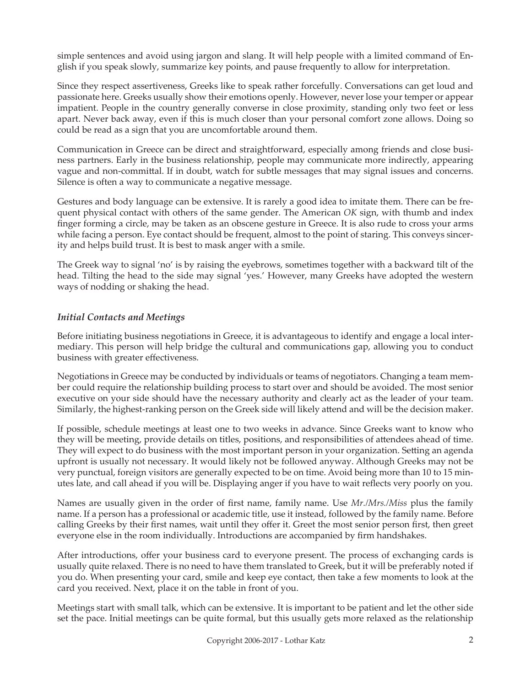simple sentences and avoid using jargon and slang. It will help people with a limited command of English if you speak slowly, summarize key points, and pause frequently to allow for interpretation.

Since they respect assertiveness, Greeks like to speak rather forcefully. Conversations can get loud and passionate here. Greeks usually show their emotions openly. However, never lose your temper or appear impatient. People in the country generally converse in close proximity, standing only two feet or less apart. Never back away, even if this is much closer than your personal comfort zone allows. Doing so could be read as a sign that you are uncomfortable around them.

Communication in Greece can be direct and straightforward, especially among friends and close business partners. Early in the business relationship, people may communicate more indirectly, appearing vague and non-committal. If in doubt, watch for subtle messages that may signal issues and concerns. Silence is often a way to communicate a negative message.

Gestures and body language can be extensive. It is rarely a good idea to imitate them. There can be frequent physical contact with others of the same gender. The American *OK* sign, with thumb and index finger forming a circle, may be taken as an obscene gesture in Greece. It is also rude to cross your arms while facing a person. Eye contact should be frequent, almost to the point of staring. This conveys sincerity and helps build trust. It is best to mask anger with a smile.

The Greek way to signal 'no' is by raising the eyebrows, sometimes together with a backward tilt of the head. Tilting the head to the side may signal 'yes.' However, many Greeks have adopted the western ways of nodding or shaking the head.

## *Initial Contacts and Meetings*

Before initiating business negotiations in Greece, it is advantageous to identify and engage a local intermediary. This person will help bridge the cultural and communications gap, allowing you to conduct business with greater effectiveness.

Negotiations in Greece may be conducted by individuals or teams of negotiators. Changing a team member could require the relationship building process to start over and should be avoided. The most senior executive on your side should have the necessary authority and clearly act as the leader of your team. Similarly, the highest-ranking person on the Greek side will likely attend and will be the decision maker.

If possible, schedule meetings at least one to two weeks in advance. Since Greeks want to know who they will be meeting, provide details on titles, positions, and responsibilities of attendees ahead of time. They will expect to do business with the most important person in your organization. Setting an agenda upfront is usually not necessary. It would likely not be followed anyway. Although Greeks may not be very punctual, foreign visitors are generally expected to be on time. Avoid being more than 10 to 15 minutes late, and call ahead if you will be. Displaying anger if you have to wait reflects very poorly on you.

Names are usually given in the order of first name, family name. Use *Mr./Mrs./Miss* plus the family name. If a person has a professional or academic title, use it instead, followed by the family name. Before calling Greeks by their first names, wait until they offer it. Greet the most senior person first, then greet everyone else in the room individually. Introductions are accompanied by firm handshakes.

After introductions, offer your business card to everyone present. The process of exchanging cards is usually quite relaxed. There is no need to have them translated to Greek, but it will be preferably noted if you do. When presenting your card, smile and keep eye contact, then take a few moments to look at the card you received. Next, place it on the table in front of you.

Meetings start with small talk, which can be extensive. It is important to be patient and let the other side set the pace. Initial meetings can be quite formal, but this usually gets more relaxed as the relationship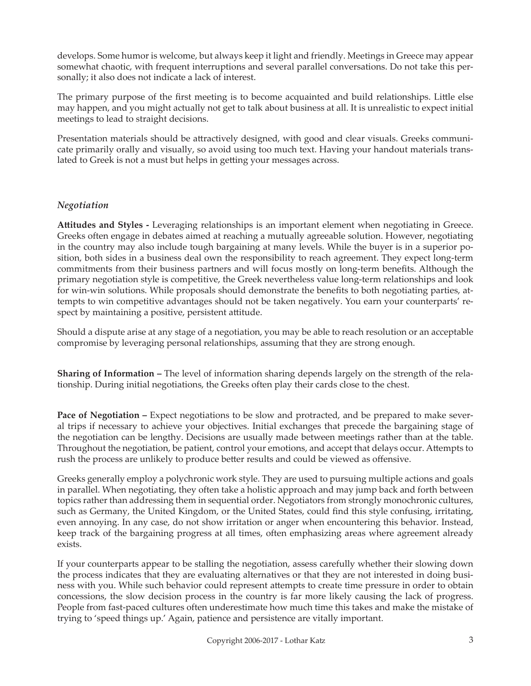develops. Some humor is welcome, but always keep it light and friendly. Meetings in Greece may appear somewhat chaotic, with frequent interruptions and several parallel conversations. Do not take this personally; it also does not indicate a lack of interest.

The primary purpose of the first meeting is to become acquainted and build relationships. Little else may happen, and you might actually not get to talk about business at all. It is unrealistic to expect initial meetings to lead to straight decisions.

Presentation materials should be attractively designed, with good and clear visuals. Greeks communicate primarily orally and visually, so avoid using too much text. Having your handout materials translated to Greek is not a must but helps in getting your messages across.

## *Negotiation*

**Attitudes and Styles -** Leveraging relationships is an important element when negotiating in Greece. Greeks often engage in debates aimed at reaching a mutually agreeable solution. However, negotiating in the country may also include tough bargaining at many levels. While the buyer is in a superior position, both sides in a business deal own the responsibility to reach agreement. They expect long-term commitments from their business partners and will focus mostly on long-term benefits. Although the primary negotiation style is competitive, the Greek nevertheless value long-term relationships and look for win-win solutions. While proposals should demonstrate the benefits to both negotiating parties, attempts to win competitive advantages should not be taken negatively. You earn your counterparts' respect by maintaining a positive, persistent attitude.

Should a dispute arise at any stage of a negotiation, you may be able to reach resolution or an acceptable compromise by leveraging personal relationships, assuming that they are strong enough.

**Sharing of Information –** The level of information sharing depends largely on the strength of the relationship. During initial negotiations, the Greeks often play their cards close to the chest.

**Pace of Negotiation –** Expect negotiations to be slow and protracted, and be prepared to make several trips if necessary to achieve your objectives. Initial exchanges that precede the bargaining stage of the negotiation can be lengthy. Decisions are usually made between meetings rather than at the table. Throughout the negotiation, be patient, control your emotions, and accept that delays occur. Attempts to rush the process are unlikely to produce better results and could be viewed as offensive.

Greeks generally employ a polychronic work style. They are used to pursuing multiple actions and goals in parallel. When negotiating, they often take a holistic approach and may jump back and forth between topics rather than addressing them in sequential order. Negotiators from strongly monochronic cultures, such as Germany, the United Kingdom, or the United States, could find this style confusing, irritating, even annoying. In any case, do not show irritation or anger when encountering this behavior. Instead, keep track of the bargaining progress at all times, often emphasizing areas where agreement already exists.

If your counterparts appear to be stalling the negotiation, assess carefully whether their slowing down the process indicates that they are evaluating alternatives or that they are not interested in doing business with you. While such behavior could represent attempts to create time pressure in order to obtain concessions, the slow decision process in the country is far more likely causing the lack of progress. People from fast-paced cultures often underestimate how much time this takes and make the mistake of trying to 'speed things up.' Again, patience and persistence are vitally important.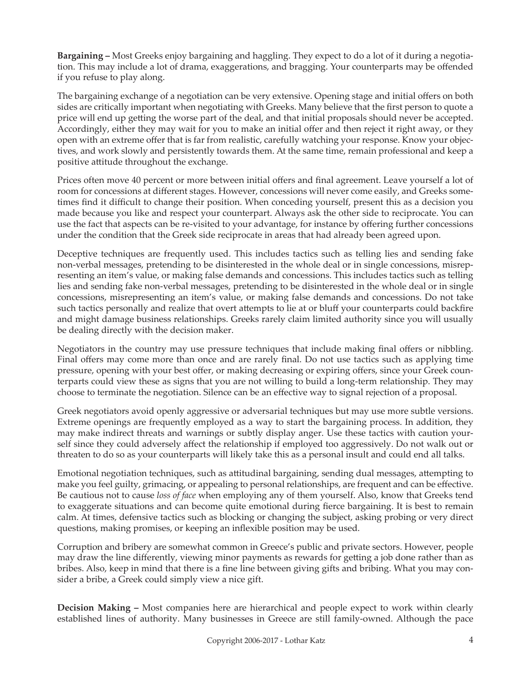**Bargaining –** Most Greeks enjoy bargaining and haggling. They expect to do a lot of it during a negotiation. This may include a lot of drama, exaggerations, and bragging. Your counterparts may be offended if you refuse to play along.

The bargaining exchange of a negotiation can be very extensive. Opening stage and initial offers on both sides are critically important when negotiating with Greeks. Many believe that the first person to quote a price will end up getting the worse part of the deal, and that initial proposals should never be accepted. Accordingly, either they may wait for you to make an initial offer and then reject it right away, or they open with an extreme offer that is far from realistic, carefully watching your response. Know your objectives, and work slowly and persistently towards them. At the same time, remain professional and keep a positive attitude throughout the exchange.

Prices often move 40 percent or more between initial offers and final agreement. Leave yourself a lot of room for concessions at different stages. However, concessions will never come easily, and Greeks sometimes find it difficult to change their position. When conceding yourself, present this as a decision you made because you like and respect your counterpart. Always ask the other side to reciprocate. You can use the fact that aspects can be re-visited to your advantage, for instance by offering further concessions under the condition that the Greek side reciprocate in areas that had already been agreed upon.

Deceptive techniques are frequently used. This includes tactics such as telling lies and sending fake non-verbal messages, pretending to be disinterested in the whole deal or in single concessions, misrepresenting an item's value, or making false demands and concessions. This includes tactics such as telling lies and sending fake non-verbal messages, pretending to be disinterested in the whole deal or in single concessions, misrepresenting an item's value, or making false demands and concessions. Do not take such tactics personally and realize that overt attempts to lie at or bluff your counterparts could backfire and might damage business relationships. Greeks rarely claim limited authority since you will usually be dealing directly with the decision maker.

Negotiators in the country may use pressure techniques that include making final offers or nibbling. Final offers may come more than once and are rarely final. Do not use tactics such as applying time pressure, opening with your best offer, or making decreasing or expiring offers, since your Greek counterparts could view these as signs that you are not willing to build a long-term relationship. They may choose to terminate the negotiation. Silence can be an effective way to signal rejection of a proposal.

Greek negotiators avoid openly aggressive or adversarial techniques but may use more subtle versions. Extreme openings are frequently employed as a way to start the bargaining process. In addition, they may make indirect threats and warnings or subtly display anger. Use these tactics with caution yourself since they could adversely affect the relationship if employed too aggressively. Do not walk out or threaten to do so as your counterparts will likely take this as a personal insult and could end all talks.

Emotional negotiation techniques, such as attitudinal bargaining, sending dual messages, attempting to make you feel guilty, grimacing, or appealing to personal relationships, are frequent and can be effective. Be cautious not to cause *loss of face* when employing any of them yourself. Also, know that Greeks tend to exaggerate situations and can become quite emotional during fierce bargaining. It is best to remain calm. At times, defensive tactics such as blocking or changing the subject, asking probing or very direct questions, making promises, or keeping an inflexible position may be used.

Corruption and bribery are somewhat common in Greece's public and private sectors. However, people may draw the line differently, viewing minor payments as rewards for getting a job done rather than as bribes. Also, keep in mind that there is a fine line between giving gifts and bribing. What you may consider a bribe, a Greek could simply view a nice gift.

**Decision Making –** Most companies here are hierarchical and people expect to work within clearly established lines of authority. Many businesses in Greece are still family-owned. Although the pace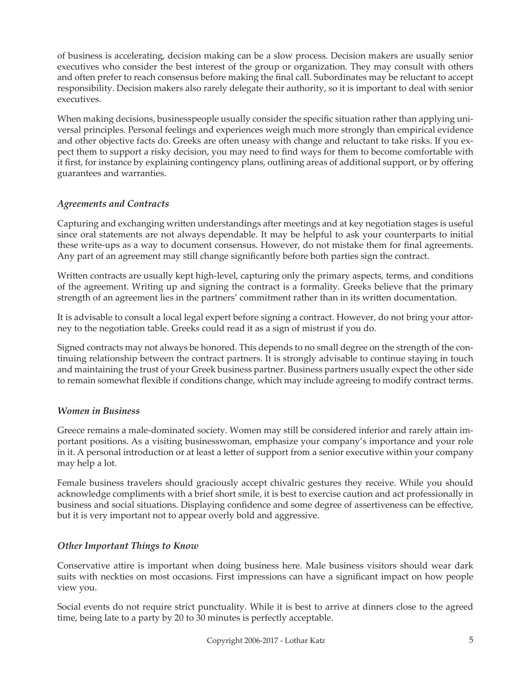of business is accelerating, decision making can be a slow process. Decision makers are usually senior executives who consider the best interest of the group or organization. They may consult with others and often prefer to reach consensus before making the final call. Subordinates may be reluctant to accept responsibility. Decision makers also rarely delegate their authority, so it is important to deal with senior executives.

When making decisions, businesspeople usually consider the specific situation rather than applying universal principles. Personal feelings and experiences weigh much more strongly than empirical evidence and other objective facts do. Greeks are often uneasy with change and reluctant to take risks. If you expect them to support a risky decision, you may need to find ways for them to become comfortable with it first, for instance by explaining contingency plans, outlining areas of additional support, or by offering guarantees and warranties.

## *Agreements and Contracts*

Capturing and exchanging written understandings after meetings and at key negotiation stages is useful since oral statements are not always dependable. It may be helpful to ask your counterparts to initial these write-ups as a way to document consensus. However, do not mistake them for final agreements. Any part of an agreement may still change significantly before both parties sign the contract.

Written contracts are usually kept high-level, capturing only the primary aspects, terms, and conditions of the agreement. Writing up and signing the contract is a formality. Greeks believe that the primary strength of an agreement lies in the partners' commitment rather than in its written documentation.

It is advisable to consult a local legal expert before signing a contract. However, do not bring your attorney to the negotiation table. Greeks could read it as a sign of mistrust if you do.

Signed contracts may not always be honored. This depends to no small degree on the strength of the continuing relationship between the contract partners. It is strongly advisable to continue staying in touch and maintaining the trust of your Greek business partner. Business partners usually expect the other side to remain somewhat flexible if conditions change, which may include agreeing to modify contract terms.

#### *Women in Business*

Greece remains a male-dominated society. Women may still be considered inferior and rarely attain important positions. As a visiting businesswoman, emphasize your company's importance and your role in it. A personal introduction or at least a letter of support from a senior executive within your company may help a lot.

Female business travelers should graciously accept chivalric gestures they receive. While you should acknowledge compliments with a brief short smile, it is best to exercise caution and act professionally in business and social situations. Displaying confidence and some degree of assertiveness can be effective, but it is very important not to appear overly bold and aggressive.

## *Other Important Things to Know*

Conservative attire is important when doing business here. Male business visitors should wear dark suits with neckties on most occasions. First impressions can have a significant impact on how people view you.

Social events do not require strict punctuality. While it is best to arrive at dinners close to the agreed time, being late to a party by 20 to 30 minutes is perfectly acceptable.